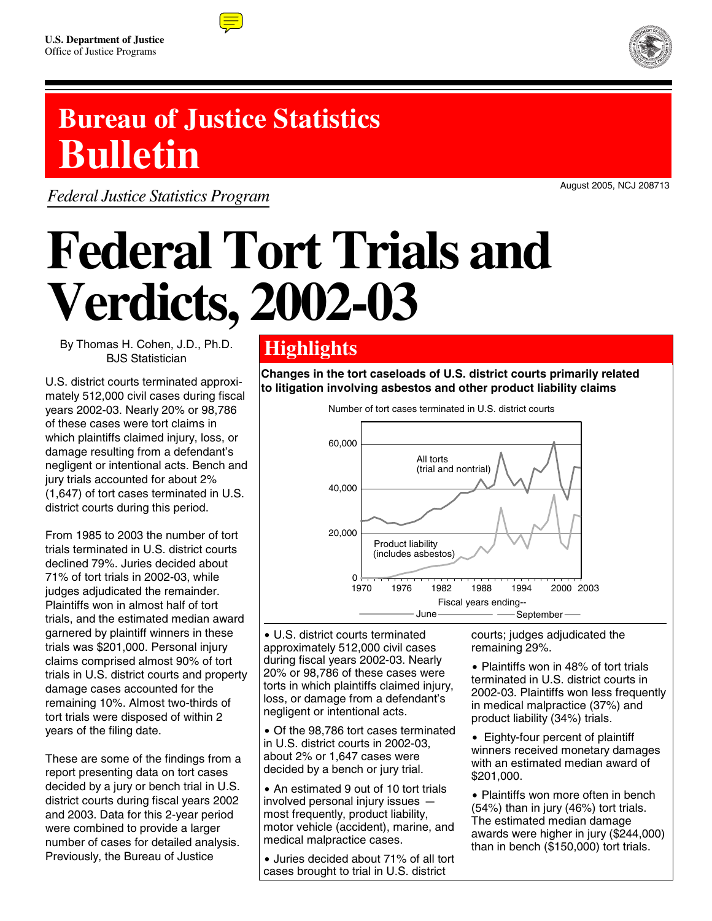



## **Bureau of Justice Statistics Bulletin**

*Federal Justice Statistics Program*

August 2005, NCJ 208713

# **Federal Tort Trials and Verdicts, 2002-03**

By Thomas H. Cohen, J.D., Ph.D. BJS Statistician

U.S. district courts terminated approximately 512,000 civil cases during fiscal years 2002-03. Nearly 20% or 98,786 of these cases were tort claims in which plaintiffs claimed injury, loss, or damage resulting from a defendant's negligent or intentional acts. Bench and jury trials accounted for about 2% (1,647) of tort cases terminated in U.S. district courts during this period.

From 1985 to 2003 the number of tort trials terminated in U.S. district courts declined 79%. Juries decided about 71% of tort trials in 2002-03, while judges adjudicated the remainder. Plaintiffs won in almost half of tort trials, and the estimated median award garnered by plaintiff winners in these trials was \$201,000. Personal injury claims comprised almost 90% of tort trials in U.S. district courts and property damage cases accounted for the remaining 10%. Almost two-thirds of tort trials were disposed of within 2 years of the filing date.

These are some of the findings from a report presenting data on tort cases decided by a jury or bench trial in U.S. district courts during fiscal years 2002 and 2003. Data for this 2-year period were combined to provide a larger number of cases for detailed analysis. Previously, the Bureau of Justice

### **Highlights**

**Changes in the tort caseloads of U.S. district courts primarily related to litigation involving asbestos and other product liability claims**



• U.S. district courts terminated approximately 512,000 civil cases during fiscal years 2002-03. Nearly 20% or 98,786 of these cases were torts in which plaintiffs claimed injury, loss, or damage from a defendant's negligent or intentional acts.

• Of the 98,786 tort cases terminated in U.S. district courts in 2002-03, about 2% or 1,647 cases were decided by a bench or jury trial.

• An estimated 9 out of 10 tort trials involved personal injury issues  $$ most frequently, product liability, motor vehicle (accident), marine, and medical malpractice cases.

• Juries decided about 71% of all tort cases brought to trial in U.S. district

courts; judges adjudicated the remaining 29%.

• Plaintiffs won in 48% of tort trials terminated in U.S. district courts in 2002-03. Plaintiffs won less frequently in medical malpractice (37%) and product liability (34%) trials.

• Eighty-four percent of plaintiff winners received monetary damages with an estimated median award of \$201,000.

• Plaintiffs won more often in bench (54%) than in jury (46%) tort trials. The estimated median damage awards were higher in jury (\$244,000) than in bench (\$150,000) tort trials.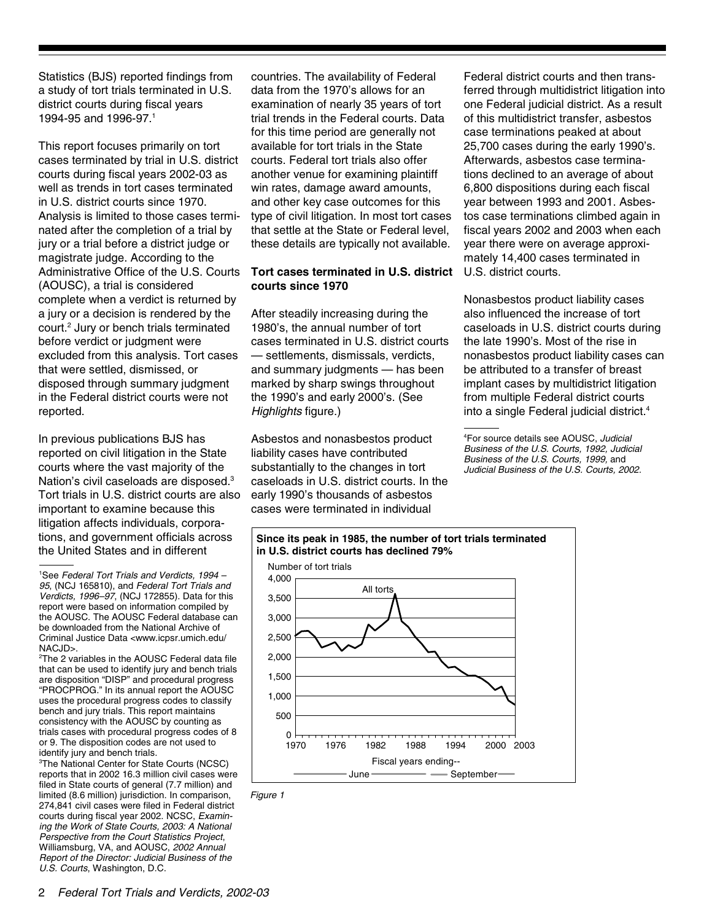Statistics (BJS) reported findings from a study of tort trials terminated in U.S. district courts during fiscal years 1994-95 and 1996-97.1

This report focuses primarily on tort cases terminated by trial in U.S. district courts during fiscal years 2002-03 as well as trends in tort cases terminated in U.S. district courts since 1970. Analysis is limited to those cases terminated after the completion of a trial by jury or a trial before a district judge or magistrate judge. According to the Administrative Office of the U.S. Courts (AOUSC), a trial is considered complete when a verdict is returned by a jury or a decision is rendered by the court.<sup>2</sup> Jury or bench trials terminated before verdict or judgment were excluded from this analysis. Tort cases that were settled, dismissed, or disposed through summary judgment in the Federal district courts were not reported.

In previous publications BJS has reported on civil litigation in the State courts where the vast majority of the Nation's civil caseloads are disposed.3 Tort trials in U.S. district courts are also important to examine because this litigation affects individuals, corporations, and government officials across the United States and in different

2 The 2 variables in the AOUSC Federal data file that can be used to identify jury and bench trials are disposition "DISP" and procedural progress "PROCPROG." In its annual report the AOUSC uses the procedural progress codes to classify bench and jury trials. This report maintains consistency with the AOUSC by counting as trials cases with procedural progress codes of 8 or 9. The disposition codes are not used to identify jury and bench trials.

3 The National Center for State Courts (NCSC) reports that in 2002 16.3 million civil cases were filed in State courts of general (7.7 million) and limited (8.6 million) jurisdiction. In comparison, 274,841 civil cases were filed in Federal district courts during fiscal year 2002. NCSC, *Examining the Work of State Courts, 2003: A National Perspective from the Court Statistics Project*, Williamsburg, VA, and AOUSC, *2002 Annual Report of the Director: Judicial Business of the U.S. Courts*, Washington, D.C.

countries. The availability of Federal data from the 1970's allows for an examination of nearly 35 years of tort trial trends in the Federal courts. Data for this time period are generally not available for tort trials in the State courts. Federal tort trials also offer another venue for examining plaintiff win rates, damage award amounts, and other key case outcomes for this type of civil litigation. In most tort cases that settle at the State or Federal level, these details are typically not available.

#### **Tort cases terminated in U.S. district courts since 1970**

After steadily increasing during the 1980's, the annual number of tort cases terminated in U.S. district courts — settlements, dismissals, verdicts, and summary judgments — has been marked by sharp swings throughout the 1990's and early 2000's. (See *Highlights* figure.)

Asbestos and nonasbestos product liability cases have contributed substantially to the changes in tort caseloads in U.S. district courts. In the early 1990's thousands of asbestos cases were terminated in individual

Federal district courts and then transferred through multidistrict litigation into one Federal judicial district. As a result of this multidistrict transfer, asbestos case terminations peaked at about 25,700 cases during the early 1990's. Afterwards, asbestos case terminations declined to an average of about 6,800 dispositions during each fiscal year between 1993 and 2001. Asbestos case terminations climbed again in fiscal years 2002 and 2003 when each year there were on average approximately 14,400 cases terminated in U.S. district courts.

Nonasbestos product liability cases also influenced the increase of tort caseloads in U.S. district courts during the late 1990's. Most of the rise in nonasbestos product liability cases can be attributed to a transfer of breast implant cases by multidistrict litigation from multiple Federal district courts into a single Federal judicial district.<sup>4</sup>

<sup>4</sup> For source details see AOUSC, *Judicial Business of the U.S. Courts, 1992, Judicial Business of the U.S. Courts, 1999,* and *Judicial Business of the U.S. Courts, 2002.*



*Figure 1*

<sup>1</sup> See *Federal Tort Trials and Verdicts, 1994 – 95*, (NCJ 165810), and *Federal Tort Trials and Verdicts, 1996–97*, (NCJ 172855). Data for this report were based on information compiled by the AOUSC. The AOUSC Federal database can be downloaded from the National Archive of Criminal Justice Data <www.icpsr.umich.edu/ NACJD>.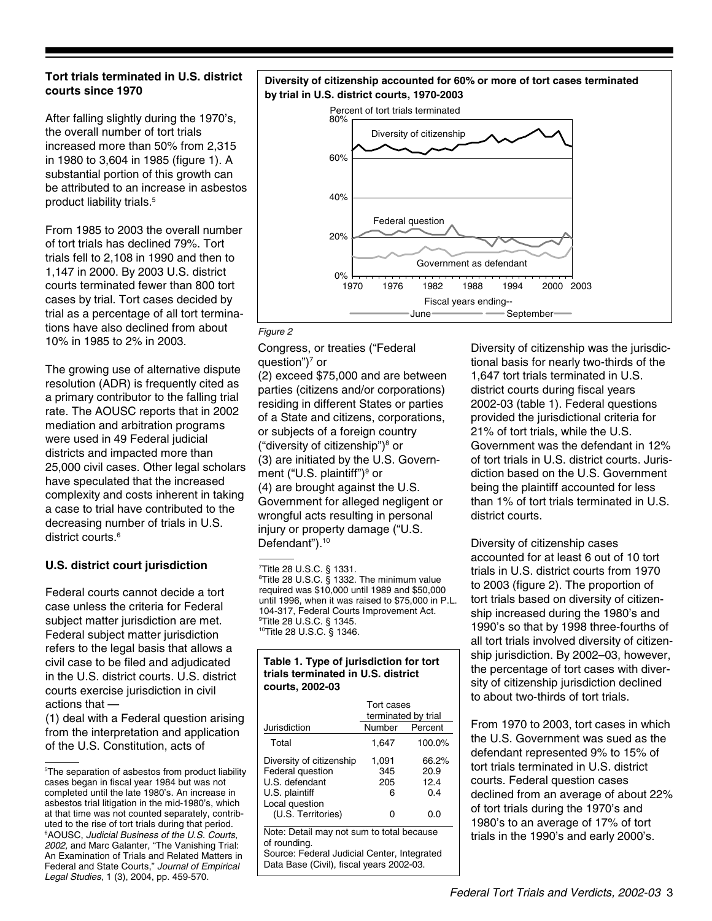#### **Tort trials terminated in U.S. district courts since 1970**

After falling slightly during the 1970's, the overall number of tort trials increased more than 50% from 2,315 in 1980 to 3,604 in 1985 (figure 1). A substantial portion of this growth can be attributed to an increase in asbestos product liability trials.5

From 1985 to 2003 the overall number of tort trials has declined 79%. Tort trials fell to 2,108 in 1990 and then to 1,147 in 2000. By 2003 U.S. district courts terminated fewer than 800 tort cases by trial. Tort cases decided by trial as a percentage of all tort terminations have also declined from about 10% in 1985 to 2% in 2003.

The growing use of alternative dispute resolution (ADR) is frequently cited as a primary contributor to the falling trial rate. The AOUSC reports that in 2002 mediation and arbitration programs were used in 49 Federal judicial districts and impacted more than 25,000 civil cases. Other legal scholars have speculated that the increased complexity and costs inherent in taking a case to trial have contributed to the decreasing number of trials in U.S. district courts.<sup>6</sup>

#### **U.S. district court jurisdiction**

Federal courts cannot decide a tort case unless the criteria for Federal subject matter jurisdiction are met. Federal subject matter jurisdiction refers to the legal basis that allows a civil case to be filed and adjudicated in the U.S. district courts. U.S. district courts exercise jurisdiction in civil actions that —

(1) deal with a Federal question arising from the interpretation and application of the U.S. Constitution, acts of

#### **Diversity of citizenship accounted for 60% or more of tort cases terminated by trial in U.S. district courts, 1970-2003**



#### *Figure 2*

Congress, or treaties ("Federal question")<sup>7</sup> or

(2) exceed \$75,000 and are between parties (citizens and/or corporations) residing in different States or parties of a State and citizens, corporations, or subjects of a foreign country ("diversity of citizenship")8 or (3) are initiated by the U.S. Government ("U.S. plaintiff")<sup>9</sup> or (4) are brought against the U.S. Government for alleged negligent or wrongful acts resulting in personal injury or property damage ("U.S. Defendant").<sup>10</sup>

7 Title 28 U.S.C. § 1331.

8 Title 28 U.S.C. § 1332. The minimum value required was \$10,000 until 1989 and \$50,000 until 1996, when it was raised to \$75,000 in P.L. 104-317, Federal Courts Improvement Act. 9 Title 28 U.S.C. § 1345. 10Title 28 U.S.C. § 1346.

#### **Table 1. Type of jurisdiction for tort trials terminated in U.S. district courts, 2002-03**

|                                                                                                                          | Tort cases<br>terminated by trial |                                     |  |  |
|--------------------------------------------------------------------------------------------------------------------------|-----------------------------------|-------------------------------------|--|--|
| Jurisdiction                                                                                                             | Number                            | Percent                             |  |  |
| Total                                                                                                                    | 1,647                             | 100.0%                              |  |  |
| Diversity of citizenship<br>Federal question<br>U.S. defendant<br>U.S. plaintiff<br>Local question<br>(U.S. Territories) | 1,091<br>345<br>205<br>ิค         | 66.2%<br>20.9<br>12.4<br>0.4<br>0.0 |  |  |
| Note: Detail may not sum to total because                                                                                |                                   |                                     |  |  |

of rounding.

Source: Federal Judicial Center, Integrated Data Base (Civil), fiscal years 2002-03.

Diversity of citizenship was the jurisdictional basis for nearly two-thirds of the 1,647 tort trials terminated in U.S. district courts during fiscal years 2002-03 (table 1). Federal questions provided the jurisdictional criteria for 21% of tort trials, while the U.S. Government was the defendant in 12% of tort trials in U.S. district courts. Jurisdiction based on the U.S. Government being the plaintiff accounted for less than 1% of tort trials terminated in U.S. district courts.

Diversity of citizenship cases accounted for at least 6 out of 10 tort trials in U.S. district courts from 1970 to 2003 (figure 2). The proportion of tort trials based on diversity of citizenship increased during the 1980's and 1990's so that by 1998 three-fourths of all tort trials involved diversity of citizenship jurisdiction. By 2002–03, however, the percentage of tort cases with diversity of citizenship jurisdiction declined to about two-thirds of tort trials.

From 1970 to 2003, tort cases in which the U.S. Government was sued as the defendant represented 9% to 15% of tort trials terminated in U.S. district courts. Federal question cases declined from an average of about 22% of tort trials during the 1970's and 1980's to an average of 17% of tort trials in the 1990's and early 2000's.

<sup>5</sup> The separation of asbestos from product liability cases began in fiscal year 1984 but was not completed until the late 1980's. An increase in asbestos trial litigation in the mid-1980's, which at that time was not counted separately, contributed to the rise of tort trials during that period. 6 AOUSC, *Judicial Business of the U.S. Courts, 2002,* and Marc Galanter, "The Vanishing Trial: An Examination of Trials and Related Matters in Federal and State Courts," *Journal of Empirical Legal Studies*, 1 (3), 2004, pp. 459-570.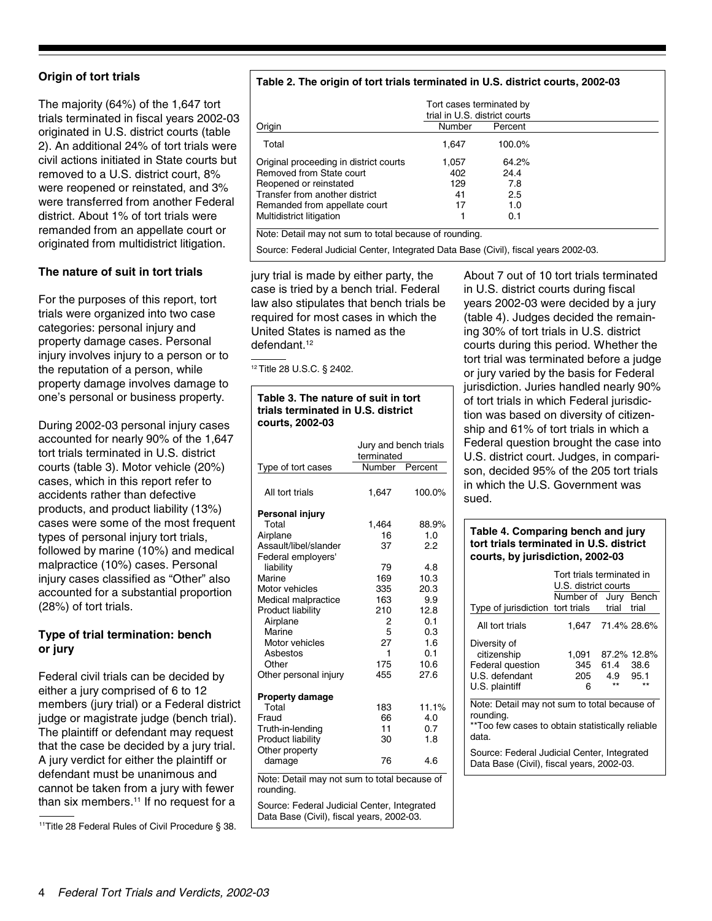#### **Origin of tort trials**

The majority (64%) of the 1,647 tort trials terminated in fiscal years 2002-03 originated in U.S. district courts (table 2). An additional 24% of tort trials were civil actions initiated in State courts but removed to a U.S. district court, 8% were reopened or reinstated, and 3% were transferred from another Federal district. About 1% of tort trials were remanded from an appellate court or originated from multidistrict litigation.

#### **The nature of suit in tort trials**

For the purposes of this report, tort trials were organized into two case categories: personal injury and property damage cases. Personal injury involves injury to a person or to the reputation of a person, while property damage involves damage to one's personal or business property.

During 2002-03 personal injury cases accounted for nearly 90% of the 1,647 tort trials terminated in U.S. district courts (table 3). Motor vehicle (20%) cases, which in this report refer to accidents rather than defective products, and product liability (13%) cases were some of the most frequent types of personal injury tort trials, followed by marine (10%) and medical malpractice (10%) cases. Personal injury cases classified as "Other" also accounted for a substantial proportion (28%) of tort trials.

#### **Type of trial termination: bench or jury**

Federal civil trials can be decided by either a jury comprised of 6 to 12 members (jury trial) or a Federal district judge or magistrate judge (bench trial). The plaintiff or defendant may request that the case be decided by a jury trial. A jury verdict for either the plaintiff or defendant must be unanimous and cannot be taken from a jury with fewer than six members.<sup>11</sup> If no request for a

<sup>11</sup>Title 28 Federal Rules of Civil Procedure § 38.

#### **Table 2. The origin of tort trials terminated in U.S. district courts, 2002-03**

|                                        | Tort cases terminated by<br>trial in U.S. district courts |         |  |
|----------------------------------------|-----------------------------------------------------------|---------|--|
| Origin                                 | Number                                                    | Percent |  |
| Total                                  | 1,647                                                     | 100.0%  |  |
| Original proceeding in district courts | 1.057                                                     | 64.2%   |  |
| Removed from State court               | 402                                                       | 24.4    |  |
| Reopened or reinstated                 | 129                                                       | 7.8     |  |
| Transfer from another district         | 41                                                        | 2.5     |  |
| Remanded from appellate court          | 17                                                        | 1.0     |  |
| Multidistrict litigation               |                                                           | 0.1     |  |

Note: Detail may not sum to total because of rounding.

Source: Federal Judicial Center, Integrated Data Base (Civil), fiscal years 2002-03.

jury trial is made by either party, the case is tried by a bench trial. Federal law also stipulates that bench trials be required for most cases in which the United States is named as the defendant.<sup>12</sup>

12 Title 28 U.S.C. § 2402.

#### **Table 3. The nature of suit in tort trials terminated in U.S. district courts, 2002-03**

|                                      | Jury and bench trials<br>terminated |             |  |
|--------------------------------------|-------------------------------------|-------------|--|
| Type of tort cases                   | Number                              | Percent     |  |
| All tort trials                      | 1.647                               | 100.0%      |  |
| Personal injury                      |                                     |             |  |
| Total                                | 1,464                               | 88.9%       |  |
| Airplane                             | 16                                  | 1.0         |  |
| Assault/libel/slander                | 37                                  | 22          |  |
| Federal employers'                   |                                     |             |  |
| liability                            | 79                                  | 4.8         |  |
| Marine                               | 169                                 | 10.3        |  |
| Motor vehicles                       | 335                                 | 20.3        |  |
| Medical malpractice                  | 163                                 | 9.9         |  |
| <b>Product liability</b><br>Airplane | 210<br>2                            | 12.8<br>0.1 |  |
| Marine                               | 5                                   | 0.3         |  |
| Motor vehicles                       | 27                                  | 1.6         |  |
| Ashestos                             | 1                                   | 0.1         |  |
| Other                                | 175                                 | 10.6        |  |
| Other personal injury                | 455                                 | 27.6        |  |
| <b>Property damage</b>               |                                     |             |  |
| Total                                | 183                                 | 11.1%       |  |
| Fraud                                | 66                                  | 4.0         |  |
| Truth-in-lending                     | 11                                  | 0.7         |  |
| Product liability                    | 30                                  | 1.8         |  |
| Other property                       |                                     |             |  |
| damage                               | 76                                  | 4.6         |  |
|                                      |                                     |             |  |

Note: Detail may not sum to total because of rounding.

Source: Federal Judicial Center, Integrated Data Base (Civil), fiscal years, 2002-03.

About 7 out of 10 tort trials terminated in U.S. district courts during fiscal years 2002-03 were decided by a jury (table 4). Judges decided the remaining 30% of tort trials in U.S. district courts during this period. Whether the tort trial was terminated before a judge or jury varied by the basis for Federal jurisdiction. Juries handled nearly 90% of tort trials in which Federal jurisdiction was based on diversity of citizenship and 61% of tort trials in which a Federal question brought the case into U.S. district court. Judges, in comparison, decided 95% of the 205 tort trials in which the U.S. Government was sued.

#### **Table 4. Comparing bench and jury tort trials terminated in U.S. district courts, by jurisdiction, 2002-03**

|                                                                                                                        | Tort trials terminated in<br>U.S. district courts |             |                             |  |  |
|------------------------------------------------------------------------------------------------------------------------|---------------------------------------------------|-------------|-----------------------------|--|--|
| Type of jurisdiction                                                                                                   | Number of Jury Bench<br>tort trials               | trial       | trial                       |  |  |
|                                                                                                                        |                                                   |             |                             |  |  |
| All tort trials                                                                                                        | 1,647 71.4% 28.6%                                 |             |                             |  |  |
| Diversity of<br>citizenship<br><b>Federal question</b><br>U.S. defendant<br>U.S. plaintiff                             | 1,091<br>345<br>205<br>6                          | 61.4<br>4.9 | 87.2% 12.8%<br>38.6<br>95.1 |  |  |
| Note: Detail may not sum to total because of<br>rounding.<br>**Too few cases to obtain statistically reliable<br>data. |                                                   |             |                             |  |  |
| Source: Federal Judicial Center, Integrated<br>Data Base (Civil), fiscal years, 2002-03.                               |                                                   |             |                             |  |  |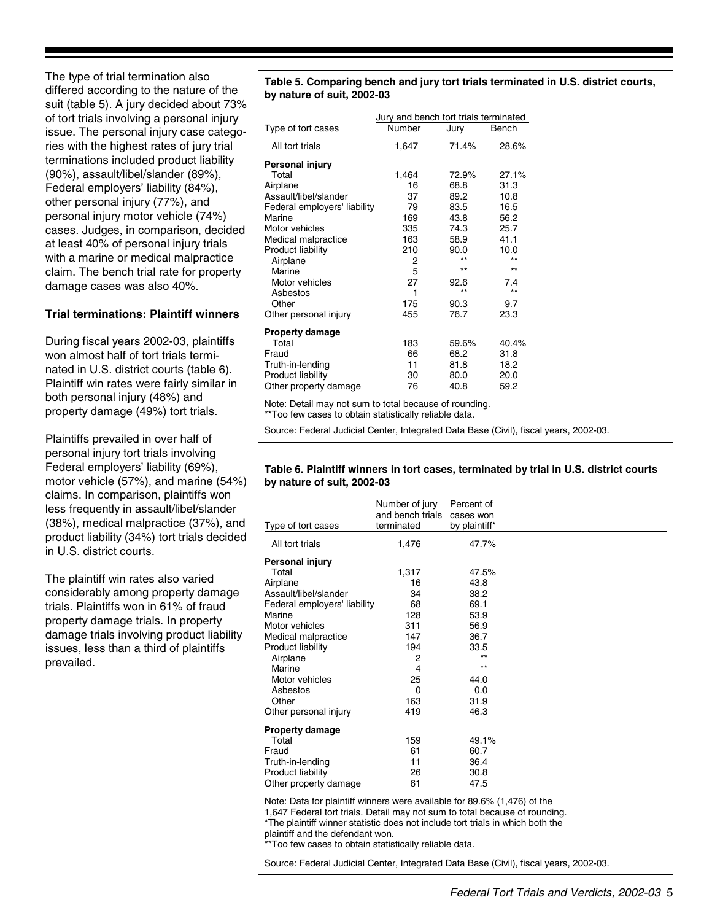The type of trial termination also differed according to the nature of the suit (table 5). A jury decided about 73% of tort trials involving a personal injury issue. The personal injury case categories with the highest rates of jury trial terminations included product liability (90%), assault/libel/slander (89%), Federal employers' liability (84%), other personal injury (77%), and personal injury motor vehicle (74%) cases. Judges, in comparison, decided at least 40% of personal injury trials with a marine or medical malpractice claim. The bench trial rate for property damage cases was also 40%.

#### **Trial terminations: Plaintiff winners**

During fiscal years 2002-03, plaintiffs won almost half of tort trials terminated in U.S. district courts (table 6). Plaintiff win rates were fairly similar in both personal injury (48%) and property damage (49%) tort trials.

Plaintiffs prevailed in over half of personal injury tort trials involving Federal employers' liability (69%), motor vehicle (57%), and marine (54%) claims. In comparison, plaintiffs won less frequently in assault/libel/slander (38%), medical malpractice (37%), and product liability (34%) tort trials decided in U.S. district courts.

The plaintiff win rates also varied considerably among property damage trials. Plaintiffs won in 61% of fraud property damage trials. In property damage trials involving product liability issues, less than a third of plaintiffs prevailed.

#### **Table 5. Comparing bench and jury tort trials terminated in U.S. district courts, by nature of suit, 2002-03**

| Number<br>Type of tort cases<br>Bench<br>Jury<br>All tort trials<br>71.4%<br>28.6%<br>1,647<br>Personal injury<br>Total<br>1,464<br>72.9%<br>27.1%<br>Airplane<br>16<br>68.8<br>31.3<br>Assault/libel/slander<br>37<br>89.2<br>10.8<br>Federal employers' liability<br>79<br>83.5<br>16.5<br>169<br>43.8<br>Marine<br>56.2<br>Motor vehicles<br>335<br>74.3<br>25.7<br>163<br>41.1<br>Medical malpractice<br>58.9<br>Product liability<br>210<br>90.0<br>10.0<br>$***$<br>$***$<br>Airplane<br>2<br>$**$<br>$***$<br>5<br>Marine<br>27<br>Motor vehicles<br>92.6<br>7.4<br>$***$<br>$***$<br>Asbestos<br>1<br>175<br>Other<br>90.3<br>9.7<br>455<br>76.7<br>23.3<br>Other personal injury<br><b>Property damage</b><br>Total<br>183<br>59.6%<br>40.4%<br>66<br>68.2<br>Fraud<br>31.8<br>Truth-in-lending<br>11<br>81.8<br>18.2<br>Product liability<br>30<br>80.0<br>20.0<br>Other property damage<br>40.8<br>59.2<br>76 | Jury and bench tort trials terminated |  |
|--------------------------------------------------------------------------------------------------------------------------------------------------------------------------------------------------------------------------------------------------------------------------------------------------------------------------------------------------------------------------------------------------------------------------------------------------------------------------------------------------------------------------------------------------------------------------------------------------------------------------------------------------------------------------------------------------------------------------------------------------------------------------------------------------------------------------------------------------------------------------------------------------------------------------|---------------------------------------|--|
|                                                                                                                                                                                                                                                                                                                                                                                                                                                                                                                                                                                                                                                                                                                                                                                                                                                                                                                          |                                       |  |
|                                                                                                                                                                                                                                                                                                                                                                                                                                                                                                                                                                                                                                                                                                                                                                                                                                                                                                                          |                                       |  |
|                                                                                                                                                                                                                                                                                                                                                                                                                                                                                                                                                                                                                                                                                                                                                                                                                                                                                                                          |                                       |  |
|                                                                                                                                                                                                                                                                                                                                                                                                                                                                                                                                                                                                                                                                                                                                                                                                                                                                                                                          |                                       |  |
|                                                                                                                                                                                                                                                                                                                                                                                                                                                                                                                                                                                                                                                                                                                                                                                                                                                                                                                          |                                       |  |
|                                                                                                                                                                                                                                                                                                                                                                                                                                                                                                                                                                                                                                                                                                                                                                                                                                                                                                                          |                                       |  |
|                                                                                                                                                                                                                                                                                                                                                                                                                                                                                                                                                                                                                                                                                                                                                                                                                                                                                                                          |                                       |  |
|                                                                                                                                                                                                                                                                                                                                                                                                                                                                                                                                                                                                                                                                                                                                                                                                                                                                                                                          |                                       |  |
|                                                                                                                                                                                                                                                                                                                                                                                                                                                                                                                                                                                                                                                                                                                                                                                                                                                                                                                          |                                       |  |
|                                                                                                                                                                                                                                                                                                                                                                                                                                                                                                                                                                                                                                                                                                                                                                                                                                                                                                                          |                                       |  |
|                                                                                                                                                                                                                                                                                                                                                                                                                                                                                                                                                                                                                                                                                                                                                                                                                                                                                                                          |                                       |  |
|                                                                                                                                                                                                                                                                                                                                                                                                                                                                                                                                                                                                                                                                                                                                                                                                                                                                                                                          |                                       |  |
|                                                                                                                                                                                                                                                                                                                                                                                                                                                                                                                                                                                                                                                                                                                                                                                                                                                                                                                          |                                       |  |
|                                                                                                                                                                                                                                                                                                                                                                                                                                                                                                                                                                                                                                                                                                                                                                                                                                                                                                                          |                                       |  |
|                                                                                                                                                                                                                                                                                                                                                                                                                                                                                                                                                                                                                                                                                                                                                                                                                                                                                                                          |                                       |  |
|                                                                                                                                                                                                                                                                                                                                                                                                                                                                                                                                                                                                                                                                                                                                                                                                                                                                                                                          |                                       |  |
|                                                                                                                                                                                                                                                                                                                                                                                                                                                                                                                                                                                                                                                                                                                                                                                                                                                                                                                          |                                       |  |
|                                                                                                                                                                                                                                                                                                                                                                                                                                                                                                                                                                                                                                                                                                                                                                                                                                                                                                                          |                                       |  |
|                                                                                                                                                                                                                                                                                                                                                                                                                                                                                                                                                                                                                                                                                                                                                                                                                                                                                                                          |                                       |  |
|                                                                                                                                                                                                                                                                                                                                                                                                                                                                                                                                                                                                                                                                                                                                                                                                                                                                                                                          |                                       |  |
|                                                                                                                                                                                                                                                                                                                                                                                                                                                                                                                                                                                                                                                                                                                                                                                                                                                                                                                          |                                       |  |
|                                                                                                                                                                                                                                                                                                                                                                                                                                                                                                                                                                                                                                                                                                                                                                                                                                                                                                                          |                                       |  |
|                                                                                                                                                                                                                                                                                                                                                                                                                                                                                                                                                                                                                                                                                                                                                                                                                                                                                                                          |                                       |  |

Note: Detail may not sum to total because of rounding. \*\*Too few cases to obtain statistically reliable data.

Source: Federal Judicial Center, Integrated Data Base (Civil), fiscal years, 2002-03.

#### **Table 6. Plaintiff winners in tort cases, terminated by trial in U.S. district courts by nature of suit, 2002-03**

| Type of tort cases           | Number of jury<br>and bench trials<br>terminated | Percent of<br>cases won<br>by plaintiff* |  |
|------------------------------|--------------------------------------------------|------------------------------------------|--|
| All tort trials              | 1,476                                            | 47.7%                                    |  |
| <b>Personal injury</b>       |                                                  |                                          |  |
| Total                        | 1,317                                            | 47.5%                                    |  |
| Airplane                     | 16                                               | 43.8                                     |  |
| Assault/libel/slander        | 34                                               | 38.2                                     |  |
| Federal employers' liability | 68                                               | 69.1                                     |  |
| Marine                       | 128                                              | 53.9                                     |  |
| Motor vehicles               | 311                                              | 56.9                                     |  |
| Medical malpractice          | 147                                              | 36.7                                     |  |
| Product liability            | 194                                              | 33.5                                     |  |
| Airplane                     | $\overline{2}$                                   | $***$                                    |  |
| Marine                       | 4                                                | $***$                                    |  |
| Motor vehicles               | 25                                               | 44.0                                     |  |
| Asbestos                     | $\Omega$                                         | 0.0                                      |  |
| Other                        | 163                                              | 31.9                                     |  |
| Other personal injury        | 419                                              | 46.3                                     |  |
| <b>Property damage</b>       |                                                  |                                          |  |
| Total                        | 159                                              | 49.1%                                    |  |
| Fraud                        | 61                                               | 60.7                                     |  |
| Truth-in-lending             | 11                                               | 36.4                                     |  |
| Product liability            | 26                                               | 30.8                                     |  |
| Other property damage        | 61                                               | 47.5                                     |  |

Note: Data for plaintiff winners were available for 89.6% (1,476) of the

1,647 Federal tort trials. Detail may not sum to total because of rounding.

\*The plaintiff winner statistic does not include tort trials in which both the

plaintiff and the defendant won.

\*Too few cases to obtain statistically reliable data.

Source: Federal Judicial Center, Integrated Data Base (Civil), fiscal years, 2002-03.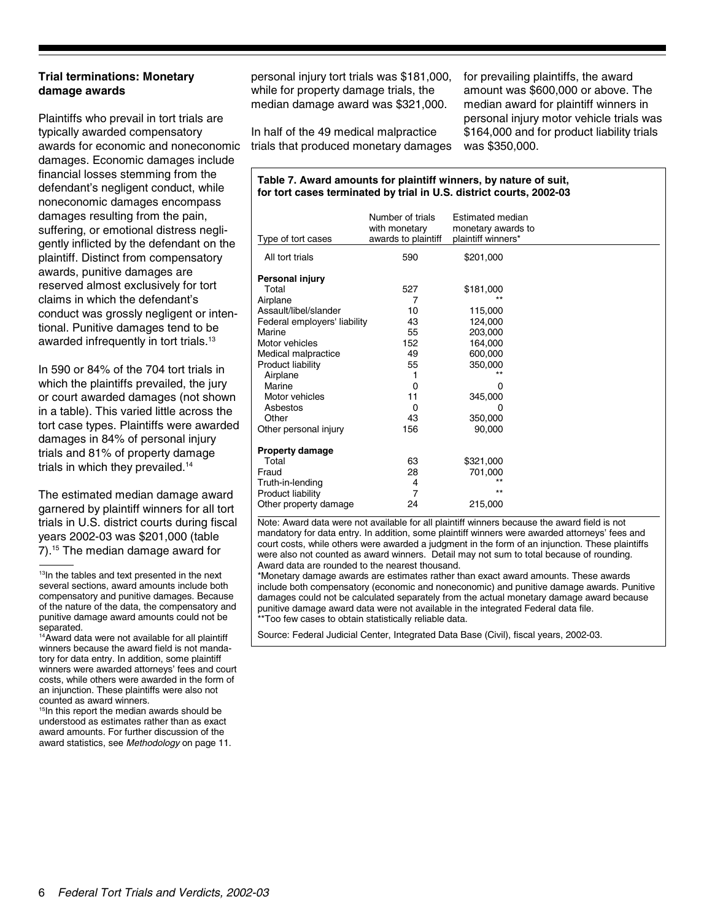#### **Trial terminations: Monetary damage awards**

Plaintiffs who prevail in tort trials are typically awarded compensatory awards for economic and noneconomic damages. Economic damages include financial losses stemming from the defendant's negligent conduct, while noneconomic damages encompass damages resulting from the pain, suffering, or emotional distress negligently inflicted by the defendant on the plaintiff. Distinct from compensatory awards, punitive damages are reserved almost exclusively for tort claims in which the defendant's conduct was grossly negligent or intentional. Punitive damages tend to be awarded infrequently in tort trials.<sup>13</sup>

In 590 or 84% of the 704 tort trials in which the plaintiffs prevailed, the jury or court awarded damages (not shown in a table). This varied little across the tort case types. Plaintiffs were awarded damages in 84% of personal injury trials and 81% of property damage trials in which they prevailed.<sup>14</sup>

The estimated median damage award garnered by plaintiff winners for all tort trials in U.S. district courts during fiscal years 2002-03 was \$201,000 (table 7).15 The median damage award for

<sup>13</sup>In the tables and text presented in the next several sections, award amounts include both compensatory and punitive damages. Because of the nature of the data, the compensatory and punitive damage award amounts could not be separated

14Award data were not available for all plaintiff winners because the award field is not mandatory for data entry. In addition, some plaintiff winners were awarded attorneys' fees and court costs, while others were awarded in the form of an injunction. These plaintiffs were also not counted as award winners.

<sup>15</sup>In this report the median awards should be understood as estimates rather than as exact award amounts. For further discussion of the award statistics, see *Methodology* on page 11. personal injury tort trials was \$181,000, while for property damage trials, the median damage award was \$321,000.

for prevailing plaintiffs, the award amount was \$600,000 or above. The median award for plaintiff winners in personal injury motor vehicle trials was \$164,000 and for product liability trials was \$350,000.

In half of the 49 medical malpractice trials that produced monetary damages

#### **Table 7. Award amounts for plaintiff winners, by nature of suit, for tort cases terminated by trial in U.S. district courts, 2002-03**

| Type of tort cases           | Number of trials<br>with monetary<br>awards to plaintiff | Estimated median<br>monetary awards to<br>plaintiff winners* |  |
|------------------------------|----------------------------------------------------------|--------------------------------------------------------------|--|
| All tort trials              | 590                                                      | \$201,000                                                    |  |
| Personal injury              |                                                          |                                                              |  |
| Total                        | 527                                                      | \$181,000                                                    |  |
| Airplane                     | 7                                                        | $***$                                                        |  |
| Assault/libel/slander        | 10                                                       | 115,000                                                      |  |
| Federal employers' liability | 43                                                       | 124,000                                                      |  |
| Marine                       | 55                                                       | 203,000                                                      |  |
| Motor vehicles               | 152                                                      | 164,000                                                      |  |
| Medical malpractice          | 49                                                       | 600,000                                                      |  |
| Product liability            | 55                                                       | 350,000                                                      |  |
| Airplane                     |                                                          | $\star\star$                                                 |  |
| Marine                       | 0                                                        | 0                                                            |  |
| Motor vehicles               | 11                                                       | 345,000                                                      |  |
| Asbestos                     | 0                                                        | O                                                            |  |
| Other                        | 43                                                       | 350,000                                                      |  |
| Other personal injury        | 156                                                      | 90,000                                                       |  |
| <b>Property damage</b>       |                                                          |                                                              |  |
| Total                        | 63                                                       | \$321,000                                                    |  |
| Fraud                        | 28                                                       | 701,000                                                      |  |
| Truth-in-lending             | 4                                                        | $\star\star$                                                 |  |
| Product liability            | 7                                                        | $***$                                                        |  |
| Other property damage        | 24                                                       | 215,000                                                      |  |

Note: Award data were not available for all plaintiff winners because the award field is not mandatory for data entry. In addition, some plaintiff winners were awarded attorneys' fees and court costs, while others were awarded a judgment in the form of an injunction. These plaintiffs were also not counted as award winners. Detail may not sum to total because of rounding. Award data are rounded to the nearest thousand.

\*Monetary damage awards are estimates rather than exact award amounts. These awards include both compensatory (economic and noneconomic) and punitive damage awards. Punitive damages could not be calculated separately from the actual monetary damage award because punitive damage award data were not available in the integrated Federal data file. \*\*Too few cases to obtain statistically reliable data.

Source: Federal Judicial Center, Integrated Data Base (Civil), fiscal years, 2002-03.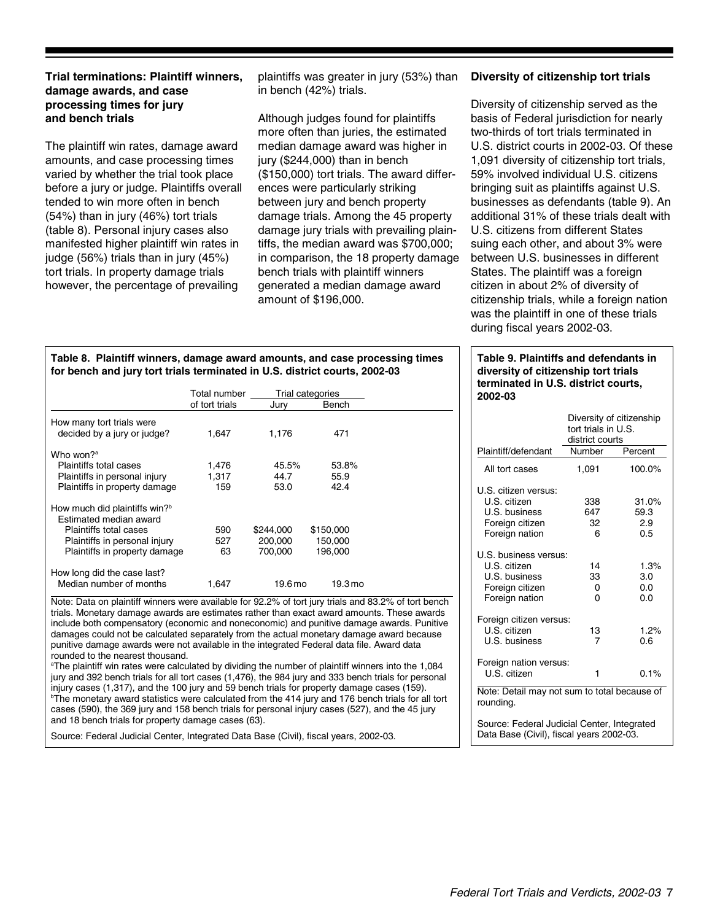#### **Trial terminations: Plaintiff winners, damage awards, and case processing times for jury and bench trials**

The plaintiff win rates, damage award amounts, and case processing times varied by whether the trial took place before a jury or judge. Plaintiffs overall tended to win more often in bench (54%) than in jury (46%) tort trials (table 8). Personal injury cases also manifested higher plaintiff win rates in judge (56%) trials than in jury (45%) tort trials. In property damage trials however, the percentage of prevailing

plaintiffs was greater in jury (53%) than in bench (42%) trials.

Although judges found for plaintiffs more often than juries, the estimated median damage award was higher in jury (\$244,000) than in bench (\$150,000) tort trials. The award differences were particularly striking between jury and bench property damage trials. Among the 45 property damage jury trials with prevailing plaintiffs, the median award was \$700,000; in comparison, the 18 property damage bench trials with plaintiff winners generated a median damage award amount of \$196,000.

#### **Diversity of citizenship tort trials**

Diversity of citizenship served as the basis of Federal jurisdiction for nearly two-thirds of tort trials terminated in U.S. district courts in 2002-03. Of these 1,091 diversity of citizenship tort trials, 59% involved individual U.S. citizens bringing suit as plaintiffs against U.S. businesses as defendants (table 9). An additional 31% of these trials dealt with U.S. citizens from different States suing each other, and about 3% were between U.S. businesses in different States. The plaintiff was a foreign citizen in about 2% of diversity of citizenship trials, while a foreign nation was the plaintiff in one of these trials during fiscal years 2002-03.

#### **Table 9. Plaintiffs and defendants in diversity of citizenship tort trials terminated in U.S. district courts, 2002-03**

|                                                                                             | Diversity of citizenship<br>tort trials in U.S.<br>district courts |                             |  |  |  |
|---------------------------------------------------------------------------------------------|--------------------------------------------------------------------|-----------------------------|--|--|--|
| Plaintiff/defendant                                                                         | Number                                                             | Percent                     |  |  |  |
| All tort cases                                                                              | 1,091                                                              | 100.0%                      |  |  |  |
| U.S. citizen versus:<br>U.S. citizen<br>U.S. business<br>Foreign citizen<br>Foreign nation  | 338<br>647<br>32<br>6                                              | 31.0%<br>59.3<br>2.9<br>0.5 |  |  |  |
| U.S. business versus:<br>U.S. citizen<br>U.S. business<br>Foreign citizen<br>Foreign nation | 14<br>33<br>0<br>0                                                 | 1.3%<br>3.0<br>0.0<br>0.0   |  |  |  |
| Foreign citizen versus:<br>U.S. citizen<br>U.S. business                                    | 13<br>7                                                            | 1.2%<br>0.6                 |  |  |  |
| Foreign nation versus:<br>U.S. citizen                                                      | 1                                                                  | 0.1%                        |  |  |  |
| Note: Detail may not sum to total because of<br>rounding.                                   |                                                                    |                             |  |  |  |
| Source: Federal Judicial Center, Integrated<br>Data Base (Civil), fiscal years 2002-03.     |                                                                    |                             |  |  |  |

#### **Table 8. Plaintiff winners, damage award amounts, and case processing times for bench and jury tort trials terminated in U.S. district courts, 2002-03**

|                                           | Total number<br>of tort trials | Jurv      | Trial categories<br>Bench |  |
|-------------------------------------------|--------------------------------|-----------|---------------------------|--|
| How many tort trials were                 |                                |           |                           |  |
| decided by a jury or judge?               | 1.647                          | 1.176     | 471                       |  |
| Who won? <sup>a</sup>                     |                                |           |                           |  |
| Plaintiffs total cases                    | 1,476                          | 45.5%     | 53.8%                     |  |
| Plaintiffs in personal injury             | 1.317                          | 44.7      | 55.9                      |  |
| Plaintiffs in property damage             | 159                            | 53.0      | 42.4                      |  |
| How much did plaintiffs win? <sup>b</sup> |                                |           |                           |  |
| <b>Estimated median award</b>             |                                |           |                           |  |
| Plaintiffs total cases                    | 590                            | \$244.000 | \$150,000                 |  |
| Plaintiffs in personal injury             | 527                            | 200,000   | 150,000                   |  |
| Plaintiffs in property damage             | 63                             | 700.000   | 196.000                   |  |
| How long did the case last?               |                                |           |                           |  |
| Median number of months                   | 1.647                          | 19.6 mo   | 19.3 <sub>mo</sub>        |  |

Note: Data on plaintiff winners were available for 92.2% of tort jury trials and 83.2% of tort bench trials. Monetary damage awards are estimates rather than exact award amounts. These awards include both compensatory (economic and noneconomic) and punitive damage awards. Punitive damages could not be calculated separately from the actual monetary damage award because punitive damage awards were not available in the integrated Federal data file. Award data rounded to the nearest thousand.

b The monetary award statistics were calculated from the 414 jury and 176 bench trials for all tort cases (590), the 369 jury and 158 bench trials for personal injury cases (527), and the 45 jury and 18 bench trials for property damage cases (63). a The plaintiff win rates were calculated by dividing the number of plaintiff winners into the 1,084 jury and 392 bench trials for all tort cases (1,476), the 984 jury and 333 bench trials for personal injury cases (1,317), and the 100 jury and 59 bench trials for property damage cases (159).

Source: Federal Judicial Center, Integrated Data Base (Civil), fiscal years, 2002-03.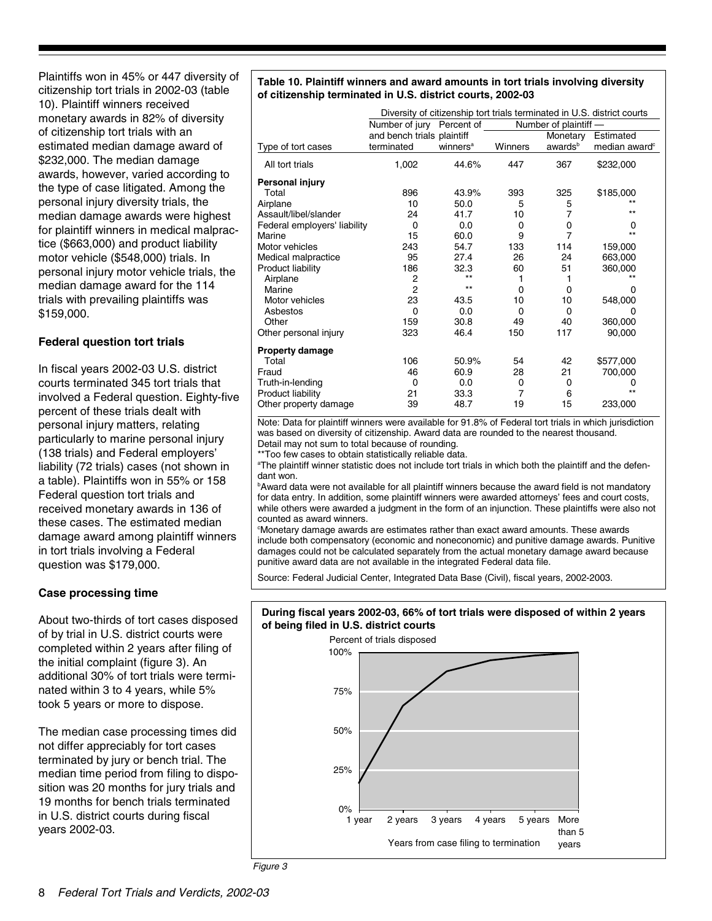Plaintiffs won in 45% or 447 diversity of citizenship tort trials in 2002-03 (table 10). Plaintiff winners received monetary awards in 82% of diversity of citizenship tort trials with an estimated median damage award of \$232,000. The median damage awards, however, varied according to the type of case litigated. Among the personal injury diversity trials, the median damage awards were highest for plaintiff winners in medical malpractice (\$663,000) and product liability motor vehicle (\$548,000) trials. In personal injury motor vehicle trials, the median damage award for the 114 trials with prevailing plaintiffs was \$159,000.

#### **Federal question tort trials**

In fiscal years 2002-03 U.S. district courts terminated 345 tort trials that involved a Federal question. Eighty-five percent of these trials dealt with personal injury matters, relating particularly to marine personal injury (138 trials) and Federal employers' liability (72 trials) cases (not shown in a table). Plaintiffs won in 55% or 158 Federal question tort trials and received monetary awards in 136 of these cases. The estimated median damage award among plaintiff winners in tort trials involving a Federal question was \$179,000.

#### **Case processing time**

About two-thirds of tort cases disposed of by trial in U.S. district courts were completed within 2 years after filing of the initial complaint (figure 3). An additional 30% of tort trials were terminated within 3 to 4 years, while 5% took 5 years or more to dispose.

The median case processing times did not differ appreciably for tort cases terminated by jury or bench trial. The median time period from filing to disposition was 20 months for jury trials and 19 months for bench trials terminated in U.S. district courts during fiscal years 2002-03.

#### **Table 10. Plaintiff winners and award amounts in tort trials involving diversity of citizenship terminated in U.S. district courts, 2002-03**

|                              |                            |                      |          |                       | Diversity of citizenship tort trials terminated in U.S. district courts |
|------------------------------|----------------------------|----------------------|----------|-----------------------|-------------------------------------------------------------------------|
|                              | Number of jury Percent of  |                      |          | Number of plaintiff - |                                                                         |
|                              | and bench trials plaintiff |                      |          | Monetary              | Estimated                                                               |
| Type of tort cases           | terminated                 | winners <sup>a</sup> | Winners  | awards <sup>b</sup>   | median award <sup>c</sup>                                               |
| All tort trials              | 1,002                      | 44.6%                | 447      | 367                   | \$232,000                                                               |
| Personal injury              |                            |                      |          |                       |                                                                         |
| Total                        | 896                        | 43.9%                | 393      | 325                   | \$185,000                                                               |
| Airplane                     | 10                         | 50.0                 | 5        | 5                     | $***$                                                                   |
| Assault/libel/slander        | 24                         | 41.7                 | 10       | 7                     | $***$                                                                   |
| Federal employers' liability | $\Omega$                   | 0.0                  | 0        | 0                     | 0                                                                       |
| Marine                       | 15                         | 60.0                 | 9        | 7                     | $**$                                                                    |
| Motor vehicles               | 243                        | 54.7                 | 133      | 114                   | 159,000                                                                 |
| Medical malpractice          | 95                         | 27.4                 | 26       | 24                    | 663,000                                                                 |
| Product liability            | 186                        | 32.3                 | 60       | 51                    | 360,000                                                                 |
| Airplane                     | 2                          | $***$                | 1        |                       | $**$                                                                    |
| Marine                       | $\overline{2}$             | $***$                | $\Omega$ | 0                     | $\Omega$                                                                |
| Motor vehicles               | 23                         | 43.5                 | 10       | 10                    | 548,000                                                                 |
| Asbestos                     | $\Omega$                   | 0.0                  | $\Omega$ | $\Omega$              | 0                                                                       |
| Other                        | 159                        | 30.8                 | 49       | 40                    | 360,000                                                                 |
| Other personal injury        | 323                        | 46.4                 | 150      | 117                   | 90,000                                                                  |
| <b>Property damage</b>       |                            |                      |          |                       |                                                                         |
| Total                        | 106                        | 50.9%                | 54       | 42                    | \$577,000                                                               |
| Fraud                        | 46                         | 60.9                 | 28       | 21                    | 700,000                                                                 |
| Truth-in-lending             | 0                          | 0.0                  | 0        | 0                     | 0                                                                       |
| Product liability            | 21                         | 33.3                 | 7        | 6                     | $***$                                                                   |
| Other property damage        | 39                         | 48.7                 | 19       | 15                    | 233,000                                                                 |

Detail may not sum to total because of rounding. Note: Data for plaintiff winners were available for 91.8% of Federal tort trials in which jurisdiction was based on diversity of citizenship. Award data are rounded to the nearest thousand.

\*\*Too few cases to obtain statistically reliable data.

a The plaintiff winner statistic does not include tort trials in which both the plaintiff and the defendant won.

**B** Award data were not available for all plaintiff winners because the award field is not mandatory for data entry. In addition, some plaintiff winners were awarded attorneys' fees and court costs, while others were awarded a judgment in the form of an injunction. These plaintiffs were also not counted as award winners.

c Monetary damage awards are estimates rather than exact award amounts. These awards include both compensatory (economic and noneconomic) and punitive damage awards. Punitive damages could not be calculated separately from the actual monetary damage award because punitive award data are not available in the integrated Federal data file.

Source: Federal Judicial Center, Integrated Data Base (Civil), fiscal years, 2002-2003.

#### **During fiscal years 2002-03, 66% of tort trials were disposed of within 2 years of being filed in U.S. district courts**

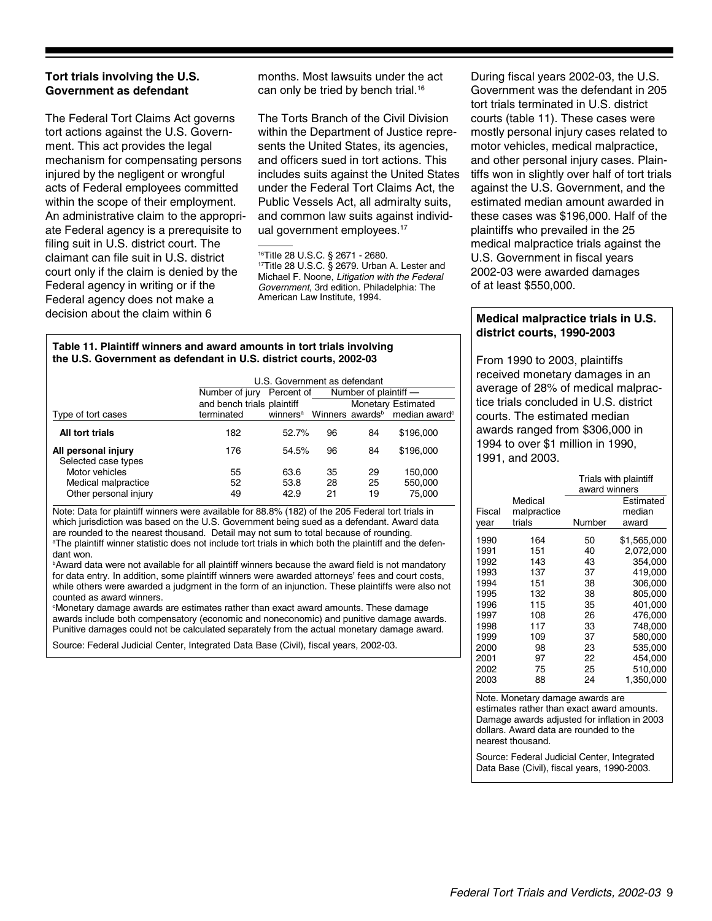#### **Tort trials involving the U.S. Government as defendant**

The Federal Tort Claims Act governs tort actions against the U.S. Government. This act provides the legal mechanism for compensating persons injured by the negligent or wrongful acts of Federal employees committed within the scope of their employment. An administrative claim to the appropriate Federal agency is a prerequisite to filing suit in U.S. district court. The claimant can file suit in U.S. district court only if the claim is denied by the Federal agency in writing or if the Federal agency does not make a decision about the claim within 6

months. Most lawsuits under the act can only be tried by bench trial.<sup>16</sup>

The Torts Branch of the Civil Division within the Department of Justice represents the United States, its agencies, and officers sued in tort actions. This includes suits against the United States under the Federal Tort Claims Act, the Public Vessels Act, all admiralty suits, and common law suits against individual government employees.<sup>17</sup>

#### **Table 11. Plaintiff winners and award amounts in tort trials involving the U.S. Government as defendant in U.S. district courts, 2002-03**

|                                            | U.S. Government as defendant |                      |    |                       |                                                       |  |
|--------------------------------------------|------------------------------|----------------------|----|-----------------------|-------------------------------------------------------|--|
|                                            | Number of jury               | Percent of           |    | Number of plaintiff - |                                                       |  |
|                                            | and bench trials plaintiff   |                      |    |                       | <b>Monetary Estimated</b>                             |  |
| Type of tort cases                         | terminated                   | winners <sup>a</sup> |    |                       | Winners awards <sup>b</sup> median award <sup>c</sup> |  |
| All tort trials                            | 182                          | 52.7%                | 96 | 84                    | \$196,000                                             |  |
| All personal injury<br>Selected case types | 176                          | 54.5%                | 96 | 84                    | \$196,000                                             |  |
| Motor vehicles                             | 55                           | 63.6                 | 35 | 29                    | 150.000                                               |  |
| Medical malpractice                        | 52                           | 53.8                 | 28 | 25                    | 550,000                                               |  |
| Other personal injury                      | 49                           | 42.9                 | 21 | 19                    | 75.000                                                |  |

a The plaintiff winner statistic does not include tort trials in which both the plaintiff and the defendant won. Note: Data for plaintiff winners were available for 88.8% (182) of the 205 Federal tort trials in which jurisdiction was based on the U.S. Government being sued as a defendant. Award data are rounded to the nearest thousand. Detail may not sum to total because of rounding.

<sup>b</sup>Award data were not available for all plaintiff winners because the award field is not mandatory for data entry. In addition, some plaintiff winners were awarded attorneys' fees and court costs, while others were awarded a judgment in the form of an injunction. These plaintiffs were also not counted as award winners.

c Monetary damage awards are estimates rather than exact award amounts. These damage awards include both compensatory (economic and noneconomic) and punitive damage awards. Punitive damages could not be calculated separately from the actual monetary damage award.

Source: Federal Judicial Center, Integrated Data Base (Civil), fiscal years, 2002-03.

During fiscal years 2002-03, the U.S. Government was the defendant in 205 tort trials terminated in U.S. district courts (table 11). These cases were mostly personal injury cases related to motor vehicles, medical malpractice, and other personal injury cases. Plaintiffs won in slightly over half of tort trials against the U.S. Government, and the estimated median amount awarded in these cases was \$196,000. Half of the plaintiffs who prevailed in the 25 medical malpractice trials against the U.S. Government in fiscal years 2002-03 were awarded damages of at least \$550,000.

#### **Medical malpractice trials in U.S. district courts, 1990-2003**

From 1990 to 2003, plaintiffs received monetary damages in an average of 28% of medical malpractice trials concluded in U.S. district courts. The estimated median awards ranged from \$306,000 in 1994 to over \$1 million in 1990, 1991, and 2003.

|        |             | Trials with plaintiff<br>award winners |             |  |
|--------|-------------|----------------------------------------|-------------|--|
|        | Medical     |                                        | Estimated   |  |
| Fiscal | malpractice |                                        | median      |  |
| year   | trials      | Number                                 | award       |  |
| 1990   | 164         | 50                                     | \$1,565,000 |  |
| 1991   | 151         | 40                                     | 2,072,000   |  |
| 1992   | 143         | 43                                     | 354,000     |  |
| 1993   | 137         | 37                                     | 419,000     |  |
| 1994   | 151         | 38                                     | 306,000     |  |
| 1995   | 132         | 38                                     | 805,000     |  |
| 1996   | 115         | 35                                     | 401,000     |  |
| 1997   | 108         | 26                                     | 476,000     |  |
| 1998   | 117         | 33                                     | 748.000     |  |
| 1999   | 109         | 37                                     | 580,000     |  |
| 2000   | 98          | 23                                     | 535,000     |  |
| 2001   | 97          | 22                                     | 454.000     |  |
| 2002   | 75          | 25                                     | 510,000     |  |
| 2003   | 88          | 24                                     | 1,350,000   |  |

Note. Monetary damage awards are estimates rather than exact award amounts. Damage awards adjusted for inflation in 2003 dollars. Award data are rounded to the nearest thousand.

Source: Federal Judicial Center, Integrated Data Base (Civil), fiscal years, 1990-2003.

<sup>16</sup>Title 28 U.S.C. § 2671 - 2680. 17Title 28 U.S.C. § 2679. Urban A. Lester and Michael F. Noone, *Litigation with the Federal Government,* 3rd edition. Philadelphia: The American Law Institute, 1994.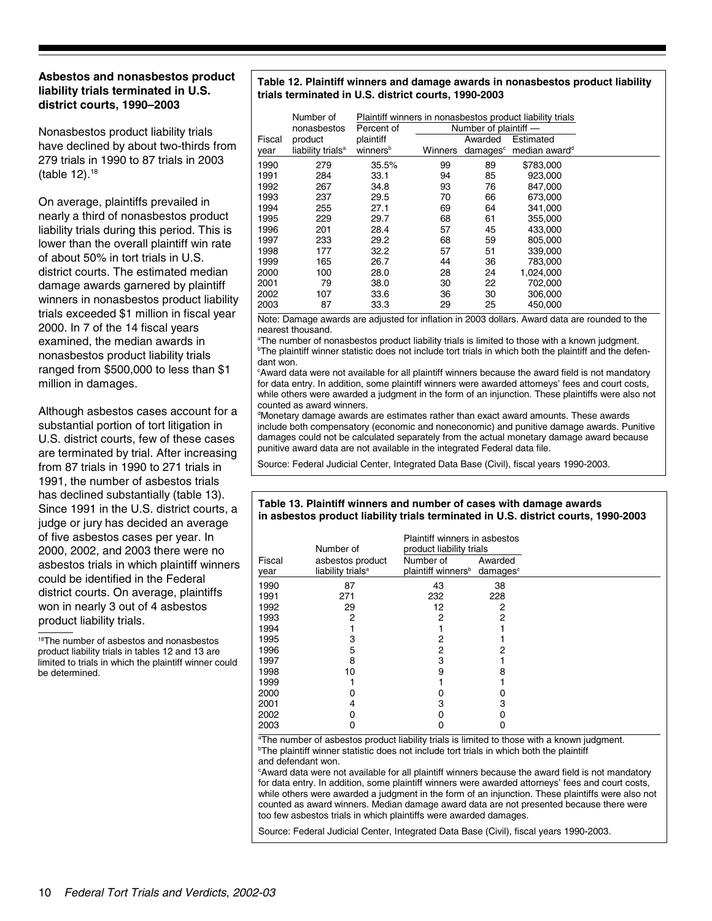#### **Asbestos and nonasbestos product liability trials terminated in U.S. district courts, 1990–2003**

Nonasbestos product liability trials have declined by about two-thirds from 279 trials in 1990 to 87 trials in 2003 (table 12).18

On average, plaintiffs prevailed in nearly a third of nonasbestos product liability trials during this period. This is lower than the overall plaintiff win rate of about 50% in tort trials in U.S. district courts. The estimated median damage awards garnered by plaintiff winners in nonasbestos product liability trials exceeded \$1 million in fiscal year 2000. In 7 of the 14 fiscal years examined, the median awards in nonasbestos product liability trials ranged from \$500,000 to less than \$1 million in damages.

Although asbestos cases account for a substantial portion of tort litigation in U.S. district courts, few of these cases are terminated by trial. After increasing from 87 trials in 1990 to 271 trials in 1991, the number of asbestos trials has declined substantially (table 13). Since 1991 in the U.S. district courts, a judge or jury has decided an average of five asbestos cases per year. In 2000, 2002, and 2003 there were no asbestos trials in which plaintiff winners could be identified in the Federal district courts. On average, plaintiffs won in nearly 3 out of 4 asbestos product liability trials.

18The number of asbestos and nonasbestos product liability trials in tables 12 and 13 are limited to trials in which the plaintiff winner could be determined.

#### **Table 12. Plaintiff winners and damage awards in nonasbestos product liability trials terminated in U.S. district courts, 1990-2003**

|        | Number of<br>nonasbestos      | Percent of           |         | Number of plaintiff - | Plaintiff winners in nonasbestos product liability trials |
|--------|-------------------------------|----------------------|---------|-----------------------|-----------------------------------------------------------|
| Fiscal | product                       | plaintiff            |         | Awarded               | Estimated                                                 |
| year   | liability trials <sup>a</sup> | winners <sup>b</sup> | Winners | damages <sup>c</sup>  | median award <sup>d</sup>                                 |
| 1990   | 279                           | 35.5%                | 99      | 89                    | \$783,000                                                 |
| 1991   | 284                           | 33.1                 | 94      | 85                    | 923.000                                                   |
| 1992   | 267                           | 34.8                 | 93      | 76                    | 847,000                                                   |
| 1993   | 237                           | 29.5                 | 70      | 66                    | 673.000                                                   |
| 1994   | 255                           | 27.1                 | 69      | 64                    | 341,000                                                   |
| 1995   | 229                           | 29.7                 | 68      | 61                    | 355,000                                                   |
| 1996   | 201                           | 28.4                 | 57      | 45                    | 433.000                                                   |
| 1997   | 233                           | 29.2                 | 68      | 59                    | 805.000                                                   |
| 1998   | 177                           | 32.2                 | 57      | 51                    | 339,000                                                   |
| 1999   | 165                           | 26.7                 | 44      | 36                    | 783,000                                                   |
| 2000   | 100                           | 28.0                 | 28      | 24                    | 1,024,000                                                 |
| 2001   | 79                            | 38.0                 | 30      | 22                    | 702.000                                                   |
| 2002   | 107                           | 33.6                 | 36      | 30                    | 306,000                                                   |
| 2003   | 87                            | 33.3                 | 29      | 25                    | 450,000                                                   |

Note: Damage awards are adjusted for inflation in 2003 dollars. Award data are rounded to the nearest thousand.

b The plaintiff winner statistic does not include tort trials in which both the plaintiff and the defendant won. a The number of nonasbestos product liability trials is limited to those with a known judgment.

c Award data were not available for all plaintiff winners because the award field is not mandatory for data entry. In addition, some plaintiff winners were awarded attorneys' fees and court costs, while others were awarded a judgment in the form of an injunction. These plaintiffs were also not counted as award winners.

d Monetary damage awards are estimates rather than exact award amounts. These awards include both compensatory (economic and noneconomic) and punitive damage awards. Punitive damages could not be calculated separately from the actual monetary damage award because punitive award data are not available in the integrated Federal data file.

Source: Federal Judicial Center, Integrated Data Base (Civil), fiscal years 1990-2003.

#### **Table 13. Plaintiff winners and number of cases with damage awards in asbestos product liability trials terminated in U.S. district courts, 1990-2003**

| Number of      |                                                   | Plaintiff winners in asbestos<br>product liability trials        |         |  |
|----------------|---------------------------------------------------|------------------------------------------------------------------|---------|--|
| Fiscal<br>year | asbestos product<br>liability trials <sup>a</sup> | Number of<br>plaintiff winners <sup>b</sup> damages <sup>c</sup> | Awarded |  |
| 1990           | 87                                                | 43                                                               | 38      |  |
| 1991           | 271                                               | 232                                                              | 228     |  |
| 1992           | 29                                                | 12                                                               | 2       |  |
| 1993           | 2                                                 | 2                                                                | 2       |  |
| 1994           |                                                   |                                                                  |         |  |
| 1995           | 3                                                 | 2                                                                |         |  |
| 1996           | 5                                                 | 2                                                                |         |  |
| 1997           | 8                                                 | 3                                                                |         |  |
| 1998           | 10                                                | 9                                                                |         |  |
| 1999           |                                                   |                                                                  |         |  |
| 2000           |                                                   |                                                                  |         |  |
| 2001           | 4                                                 | 3                                                                |         |  |
| 2002           |                                                   |                                                                  |         |  |
| 2003           | 0                                                 | 0                                                                |         |  |

<sup>b</sup>The plaintiff winner statistic does not include tort trials in which both the plaintiff and defendant won. <sup>a</sup>The number of asbestos product liability trials is limited to those with a known judgment.

c Award data were not available for all plaintiff winners because the award field is not mandatory for data entry. In addition, some plaintiff winners were awarded attorneys' fees and court costs, while others were awarded a judgment in the form of an injunction. These plaintiffs were also not counted as award winners. Median damage award data are not presented because there were too few asbestos trials in which plaintiffs were awarded damages.

Source: Federal Judicial Center, Integrated Data Base (Civil), fiscal years 1990-2003.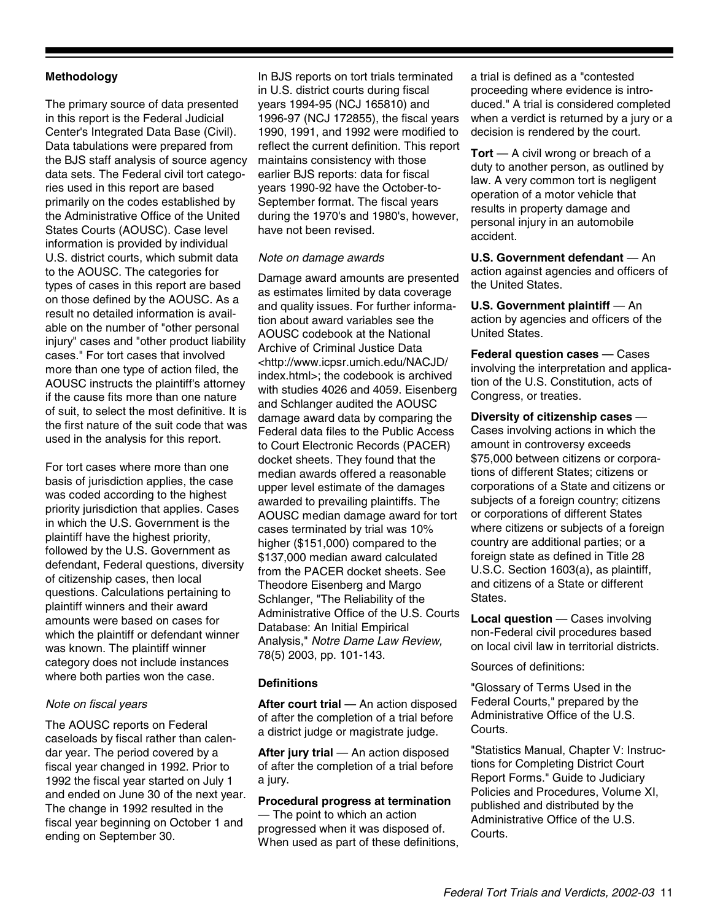#### **Methodology**

The primary source of data presented in this report is the Federal Judicial Center's Integrated Data Base (Civil). Data tabulations were prepared from the BJS staff analysis of source agency data sets. The Federal civil tort categories used in this report are based primarily on the codes established by the Administrative Office of the United States Courts (AOUSC). Case level information is provided by individual U.S. district courts, which submit data to the AOUSC. The categories for types of cases in this report are based on those defined by the AOUSC. As a result no detailed information is available on the number of "other personal injury" cases and "other product liability cases." For tort cases that involved more than one type of action filed, the AOUSC instructs the plaintiff's attorney if the cause fits more than one nature of suit, to select the most definitive. It is the first nature of the suit code that was used in the analysis for this report.

For tort cases where more than one basis of jurisdiction applies, the case was coded according to the highest priority jurisdiction that applies. Cases in which the U.S. Government is the plaintiff have the highest priority, followed by the U.S. Government as defendant, Federal questions, diversity of citizenship cases, then local questions. Calculations pertaining to plaintiff winners and their award amounts were based on cases for which the plaintiff or defendant winner was known. The plaintiff winner category does not include instances where both parties won the case.

#### *Note on fiscal years*

The AOUSC reports on Federal caseloads by fiscal rather than calendar year. The period covered by a fiscal year changed in 1992. Prior to 1992 the fiscal year started on July 1 and ended on June 30 of the next year. The change in 1992 resulted in the fiscal year beginning on October 1 and ending on September 30.

In BJS reports on tort trials terminated in U.S. district courts during fiscal years 1994-95 (NCJ 165810) and 1996-97 (NCJ 172855), the fiscal years 1990, 1991, and 1992 were modified to reflect the current definition. This report maintains consistency with those earlier BJS reports: data for fiscal years 1990-92 have the October-to-September format. The fiscal years during the 1970's and 1980's, however, have not been revised.

#### *Note on damage awards*

Damage award amounts are presented as estimates limited by data coverage and quality issues. For further information about award variables see the AOUSC codebook at the National Archive of Criminal Justice Data <http://www.icpsr.umich.edu/NACJD/ index.html>; the codebook is archived with studies 4026 and 4059. Eisenberg and Schlanger audited the AOUSC damage award data by comparing the Federal data files to the Public Access to Court Electronic Records (PACER) docket sheets. They found that the median awards offered a reasonable upper level estimate of the damages awarded to prevailing plaintiffs. The AOUSC median damage award for tort cases terminated by trial was 10% higher (\$151,000) compared to the \$137,000 median award calculated from the PACER docket sheets. See Theodore Eisenberg and Margo Schlanger, "The Reliability of the Administrative Office of the U.S. Courts Database: An Initial Empirical Analysis," *Notre Dame Law Review,* 78(5) 2003, pp. 101-143.

#### **Definitions**

**After court trial** — An action disposed of after the completion of a trial before a district judge or magistrate judge.

**After jury trial** — An action disposed of after the completion of a trial before a jury.

#### **Procedural progress at termination**

— The point to which an action progressed when it was disposed of. When used as part of these definitions,

a trial is defined as a "contested proceeding where evidence is introduced." A trial is considered completed when a verdict is returned by a jury or a decision is rendered by the court.

**Tort** — A civil wrong or breach of a duty to another person, as outlined by law. A very common tort is negligent operation of a motor vehicle that results in property damage and personal injury in an automobile accident.

**U.S. Government defendant** — An action against agencies and officers of the United States.

**U.S. Government plaintiff** — An action by agencies and officers of the United States.

**Federal question cases** — Cases involving the interpretation and application of the U.S. Constitution, acts of Congress, or treaties.

**Diversity of citizenship cases** — Cases involving actions in which the amount in controversy exceeds \$75,000 between citizens or corporations of different States; citizens or corporations of a State and citizens or subjects of a foreign country; citizens or corporations of different States where citizens or subjects of a foreign country are additional parties; or a foreign state as defined in Title 28 U.S.C. Section 1603(a), as plaintiff, and citizens of a State or different States.

**Local question** — Cases involving non-Federal civil procedures based on local civil law in territorial districts.

Sources of definitions:

"Glossary of Terms Used in the Federal Courts," prepared by the Administrative Office of the U.S. Courts.

"Statistics Manual, Chapter V: Instructions for Completing District Court Report Forms." Guide to Judiciary Policies and Procedures, Volume XI, published and distributed by the Administrative Office of the U.S. Courts.